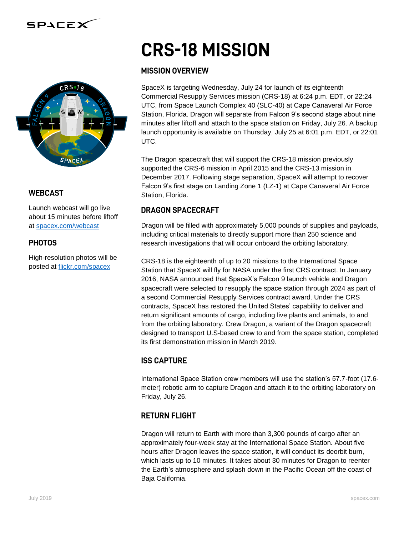



### **WEBCAST**

Launch webcast will go live about 15 minutes before liftoff at [spacex.com/webcast](http://www.spacex.com/webcast)

### **PHOTOS**

High-resolution photos will be posted at [flickr.com/spacex](http://www.flickr.com/spacex)

# **CRS-18 MISSION**

#### **MISSION OVERVIEW**

SpaceX is targeting Wednesday, July 24 for launch of its eighteenth Commercial Resupply Services mission (CRS-18) at 6:24 p.m. EDT, or 22:24 UTC, from Space Launch Complex 40 (SLC-40) at Cape Canaveral Air Force Station, Florida. Dragon will separate from Falcon 9's second stage about nine minutes after liftoff and attach to the space station on Friday, July 26. A backup launch opportunity is available on Thursday, July 25 at 6:01 p.m. EDT, or 22:01 UTC.

The Dragon spacecraft that will support the CRS-18 mission previously supported the CRS-6 mission in April 2015 and the CRS-13 mission in December 2017. Following stage separation, SpaceX will attempt to recover Falcon 9's first stage on Landing Zone 1 (LZ-1) at Cape Canaveral Air Force Station, Florida.

## **DRAGON SPACECRAFT**

Dragon will be filled with approximately 5,000 pounds of supplies and payloads, including critical materials to directly support more than 250 science and research investigations that will occur onboard the orbiting laboratory.

CRS-18 is the eighteenth of up to 20 missions to the International Space Station that SpaceX will fly for NASA under the first CRS contract. In January 2016, NASA announced that SpaceX's Falcon 9 launch vehicle and Dragon spacecraft were selected to resupply the space station through 2024 as part of a second Commercial Resupply Services contract award. Under the CRS contracts, SpaceX has restored the United States' capability to deliver and return significant amounts of cargo, including live plants and animals, to and from the orbiting laboratory. Crew Dragon, a variant of the Dragon spacecraft designed to transport U.S-based crew to and from the space station, completed its first demonstration mission in March 2019.

## **ISS CAPTURE**

International Space Station crew members will use the station's 57.7-foot (17.6 meter) robotic arm to capture Dragon and attach it to the orbiting laboratory on Friday, July 26.

#### **RETURN FLIGHT**

Dragon will return to Earth with more than 3,300 pounds of cargo after an approximately four-week stay at the International Space Station. About five hours after Dragon leaves the space station, it will conduct its deorbit burn, which lasts up to 10 minutes. It takes about 30 minutes for Dragon to reenter the Earth's atmosphere and splash down in the Pacific Ocean off the coast of Baja California.